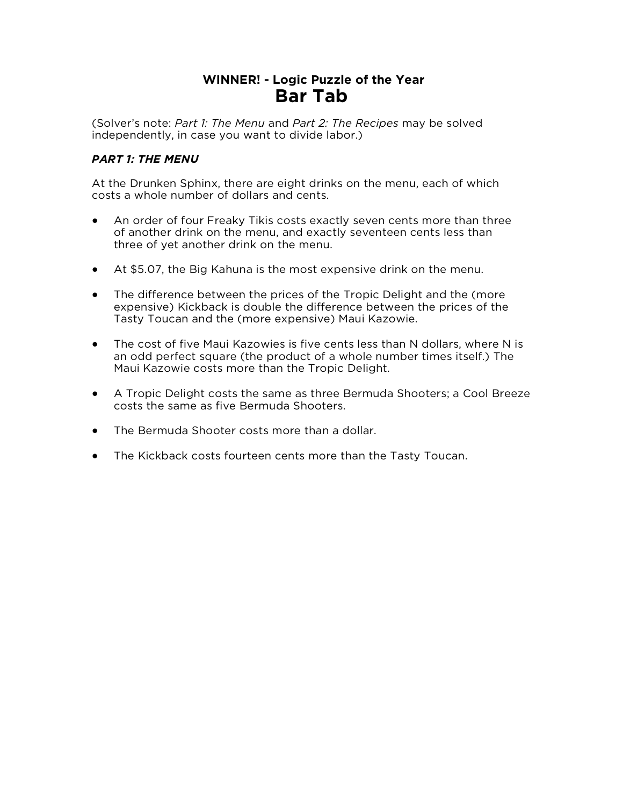## **WINNER! - Logic Puzzle of the Year Bar Tab**

(Solver's note: *Part 1: The Menu* and *Part 2: The Recipes* may be solved independently, in case you want to divide labor.)

## *PART 1: THE MENU*

At the Drunken Sphinx, there are eight drinks on the menu, each of which costs a whole number of dollars and cents.

- An order of four Freaky Tikis costs exactly seven cents more than three of another drink on the menu, and exactly seventeen cents less than three of yet another drink on the menu.
- At \$5.07, the Big Kahuna is the most expensive drink on the menu.
- The difference between the prices of the Tropic Delight and the (more expensive) Kickback is double the difference between the prices of the Tasty Toucan and the (more expensive) Maui Kazowie.
- The cost of five Maui Kazowies is five cents less than N dollars, where N is an odd perfect square (the product of a whole number times itself.) The Maui Kazowie costs more than the Tropic Delight.
- A Tropic Delight costs the same as three Bermuda Shooters; a Cool Breeze costs the same as five Bermuda Shooters.
- The Bermuda Shooter costs more than a dollar.
- The Kickback costs fourteen cents more than the Tasty Toucan.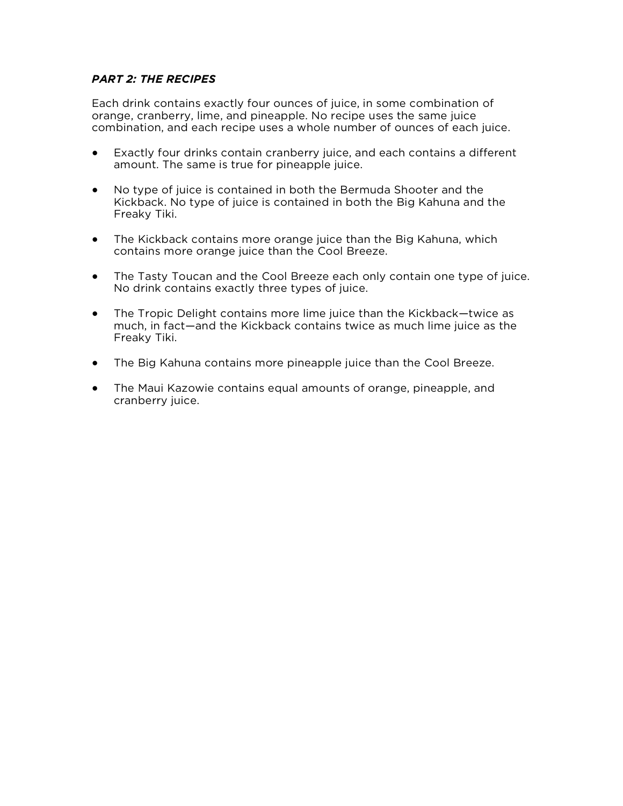## *PART 2: THE RECIPES*

Each drink contains exactly four ounces of juice, in some combination of orange, cranberry, lime, and pineapple. No recipe uses the same juice combination, and each recipe uses a whole number of ounces of each juice.

- Exactly four drinks contain cranberry juice, and each contains a different amount. The same is true for pineapple juice.
- No type of juice is contained in both the Bermuda Shooter and the Kickback. No type of juice is contained in both the Big Kahuna and the Freaky Tiki.
- The Kickback contains more orange juice than the Big Kahuna, which contains more orange juice than the Cool Breeze.
- The Tasty Toucan and the Cool Breeze each only contain one type of juice. No drink contains exactly three types of juice.
- The Tropic Delight contains more lime juice than the Kickback—twice as much, in fact—and the Kickback contains twice as much lime juice as the Freaky Tiki.
- The Big Kahuna contains more pineapple juice than the Cool Breeze.
- The Maui Kazowie contains equal amounts of orange, pineapple, and cranberry juice.